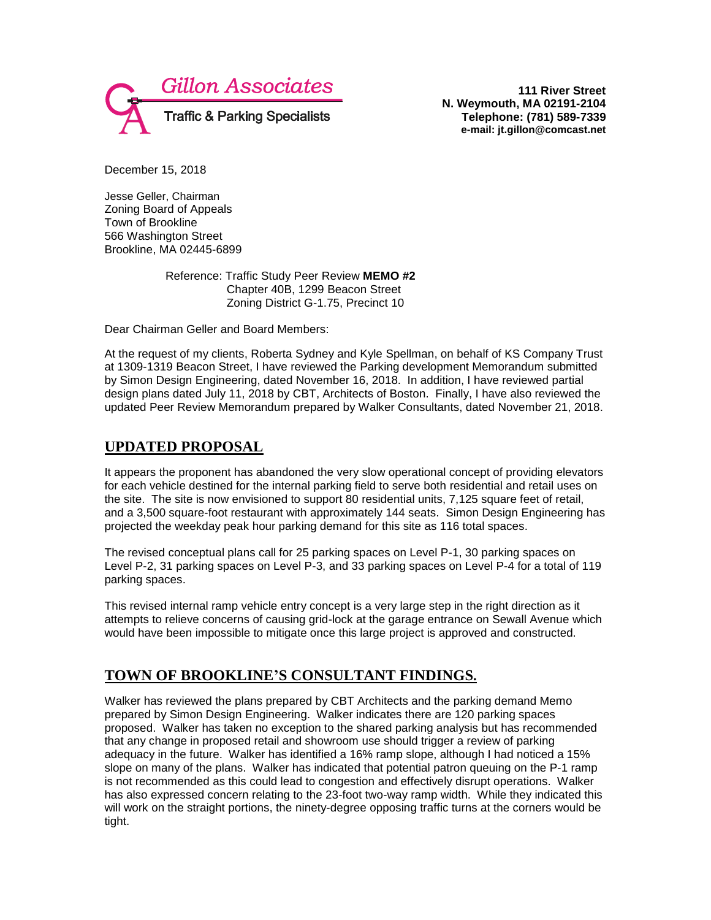

**111 River Street N. Weymouth, MA 02191-2104 Telephone: (781) 589-7339 e-mail: jt.gillon@comcast.net**

December 15, 2018

Jesse Geller, Chairman Zoning Board of Appeals Town of Brookline 566 Washington Street Brookline, MA 02445-6899

> Reference: Traffic Study Peer Review **MEMO #2** Chapter 40B, 1299 Beacon Street Zoning District G-1.75, Precinct 10

Dear Chairman Geller and Board Members:

At the request of my clients, Roberta Sydney and Kyle Spellman, on behalf of KS Company Trust at 1309-1319 Beacon Street, I have reviewed the Parking development Memorandum submitted by Simon Design Engineering, dated November 16, 2018. In addition, I have reviewed partial design plans dated July 11, 2018 by CBT, Architects of Boston. Finally, I have also reviewed the updated Peer Review Memorandum prepared by Walker Consultants, dated November 21, 2018.

## **UPDATED PROPOSAL**

It appears the proponent has abandoned the very slow operational concept of providing elevators for each vehicle destined for the internal parking field to serve both residential and retail uses on the site. The site is now envisioned to support 80 residential units, 7,125 square feet of retail, and a 3,500 square-foot restaurant with approximately 144 seats. Simon Design Engineering has projected the weekday peak hour parking demand for this site as 116 total spaces.

The revised conceptual plans call for 25 parking spaces on Level P-1, 30 parking spaces on Level P-2, 31 parking spaces on Level P-3, and 33 parking spaces on Level P-4 for a total of 119 parking spaces.

This revised internal ramp vehicle entry concept is a very large step in the right direction as it attempts to relieve concerns of causing grid-lock at the garage entrance on Sewall Avenue which would have been impossible to mitigate once this large project is approved and constructed.

## **TOWN OF BROOKLINE'S CONSULTANT FINDINGS.**

Walker has reviewed the plans prepared by CBT Architects and the parking demand Memo prepared by Simon Design Engineering. Walker indicates there are 120 parking spaces proposed. Walker has taken no exception to the shared parking analysis but has recommended that any change in proposed retail and showroom use should trigger a review of parking adequacy in the future. Walker has identified a 16% ramp slope, although I had noticed a 15% slope on many of the plans. Walker has indicated that potential patron queuing on the P-1 ramp is not recommended as this could lead to congestion and effectively disrupt operations. Walker has also expressed concern relating to the 23-foot two-way ramp width. While they indicated this will work on the straight portions, the ninety-degree opposing traffic turns at the corners would be tight.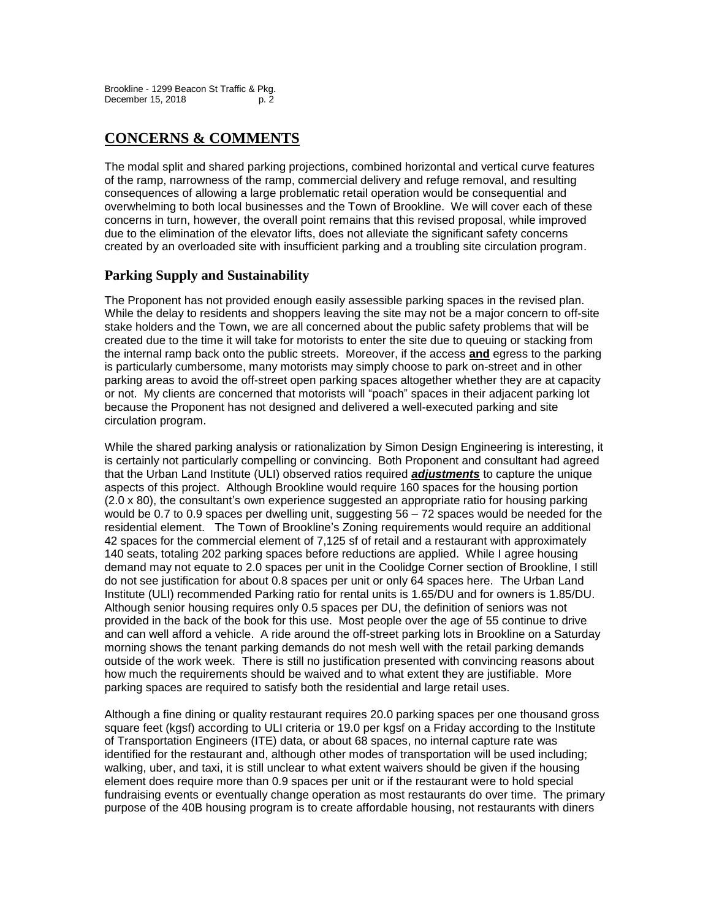# **CONCERNS & COMMENTS**

The modal split and shared parking projections, combined horizontal and vertical curve features of the ramp, narrowness of the ramp, commercial delivery and refuge removal, and resulting consequences of allowing a large problematic retail operation would be consequential and overwhelming to both local businesses and the Town of Brookline. We will cover each of these concerns in turn, however, the overall point remains that this revised proposal, while improved due to the elimination of the elevator lifts, does not alleviate the significant safety concerns created by an overloaded site with insufficient parking and a troubling site circulation program.

## **Parking Supply and Sustainability**

The Proponent has not provided enough easily assessible parking spaces in the revised plan. While the delay to residents and shoppers leaving the site may not be a major concern to off-site stake holders and the Town, we are all concerned about the public safety problems that will be created due to the time it will take for motorists to enter the site due to queuing or stacking from the internal ramp back onto the public streets. Moreover, if the access **and** egress to the parking is particularly cumbersome, many motorists may simply choose to park on-street and in other parking areas to avoid the off-street open parking spaces altogether whether they are at capacity or not. My clients are concerned that motorists will "poach" spaces in their adjacent parking lot because the Proponent has not designed and delivered a well-executed parking and site circulation program.

While the shared parking analysis or rationalization by Simon Design Engineering is interesting, it is certainly not particularly compelling or convincing. Both Proponent and consultant had agreed that the Urban Land Institute (ULI) observed ratios required *adjustments* to capture the unique aspects of this project. Although Brookline would require 160 spaces for the housing portion (2.0 x 80), the consultant's own experience suggested an appropriate ratio for housing parking would be 0.7 to 0.9 spaces per dwelling unit, suggesting 56 – 72 spaces would be needed for the residential element. The Town of Brookline's Zoning requirements would require an additional 42 spaces for the commercial element of 7,125 sf of retail and a restaurant with approximately 140 seats, totaling 202 parking spaces before reductions are applied. While I agree housing demand may not equate to 2.0 spaces per unit in the Coolidge Corner section of Brookline, I still do not see justification for about 0.8 spaces per unit or only 64 spaces here. The Urban Land Institute (ULI) recommended Parking ratio for rental units is 1.65/DU and for owners is 1.85/DU. Although senior housing requires only 0.5 spaces per DU, the definition of seniors was not provided in the back of the book for this use. Most people over the age of 55 continue to drive and can well afford a vehicle. A ride around the off-street parking lots in Brookline on a Saturday morning shows the tenant parking demands do not mesh well with the retail parking demands outside of the work week. There is still no justification presented with convincing reasons about how much the requirements should be waived and to what extent they are justifiable. More parking spaces are required to satisfy both the residential and large retail uses.

Although a fine dining or quality restaurant requires 20.0 parking spaces per one thousand gross square feet (kgsf) according to ULI criteria or 19.0 per kgsf on a Friday according to the Institute of Transportation Engineers (ITE) data, or about 68 spaces, no internal capture rate was identified for the restaurant and, although other modes of transportation will be used including; walking, uber, and taxi, it is still unclear to what extent waivers should be given if the housing element does require more than 0.9 spaces per unit or if the restaurant were to hold special fundraising events or eventually change operation as most restaurants do over time. The primary purpose of the 40B housing program is to create affordable housing, not restaurants with diners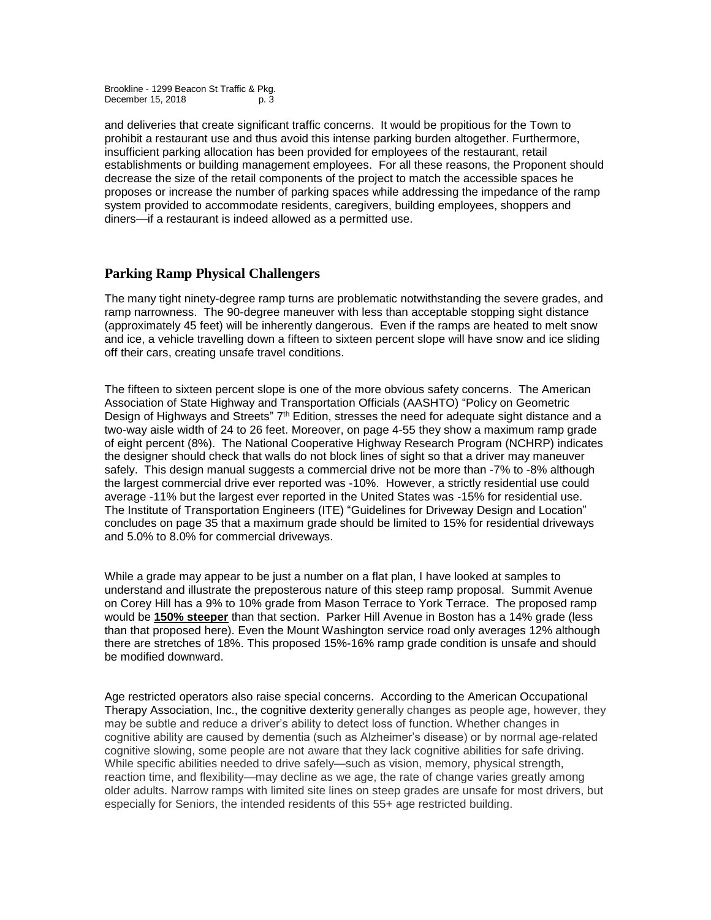and deliveries that create significant traffic concerns. It would be propitious for the Town to prohibit a restaurant use and thus avoid this intense parking burden altogether. Furthermore, insufficient parking allocation has been provided for employees of the restaurant, retail establishments or building management employees. For all these reasons, the Proponent should decrease the size of the retail components of the project to match the accessible spaces he proposes or increase the number of parking spaces while addressing the impedance of the ramp system provided to accommodate residents, caregivers, building employees, shoppers and diners—if a restaurant is indeed allowed as a permitted use.

#### **Parking Ramp Physical Challengers**

The many tight ninety-degree ramp turns are problematic notwithstanding the severe grades, and ramp narrowness. The 90-degree maneuver with less than acceptable stopping sight distance (approximately 45 feet) will be inherently dangerous. Even if the ramps are heated to melt snow and ice, a vehicle travelling down a fifteen to sixteen percent slope will have snow and ice sliding off their cars, creating unsafe travel conditions.

The fifteen to sixteen percent slope is one of the more obvious safety concerns. The American Association of State Highway and Transportation Officials (AASHTO) "Policy on Geometric Design of Highways and Streets"  $7<sup>th</sup>$  Edition, stresses the need for adequate sight distance and a two-way aisle width of 24 to 26 feet. Moreover, on page 4-55 they show a maximum ramp grade of eight percent (8%). The National Cooperative Highway Research Program (NCHRP) indicates the designer should check that walls do not block lines of sight so that a driver may maneuver safely. This design manual suggests a commercial drive not be more than -7% to -8% although the largest commercial drive ever reported was -10%. However, a strictly residential use could average -11% but the largest ever reported in the United States was -15% for residential use. The Institute of Transportation Engineers (ITE) "Guidelines for Driveway Design and Location" concludes on page 35 that a maximum grade should be limited to 15% for residential driveways and 5.0% to 8.0% for commercial driveways.

While a grade may appear to be just a number on a flat plan, I have looked at samples to understand and illustrate the preposterous nature of this steep ramp proposal. Summit Avenue on Corey Hill has a 9% to 10% grade from Mason Terrace to York Terrace. The proposed ramp would be **150% steeper** than that section. Parker Hill Avenue in Boston has a 14% grade (less than that proposed here). Even the Mount Washington service road only averages 12% although there are stretches of 18%. This proposed 15%-16% ramp grade condition is unsafe and should be modified downward.

Age restricted operators also raise special concerns. According to the American Occupational Therapy Association, Inc., the cognitive dexterity generally changes as people age, however, they may be subtle and reduce a driver's ability to detect loss of function. Whether changes in cognitive ability are caused by dementia (such as Alzheimer's disease) or by normal age-related cognitive slowing, some people are not aware that they lack cognitive abilities for safe driving. While specific abilities needed to drive safely—such as vision, memory, physical strength, reaction time, and flexibility—may decline as we age, the rate of change varies greatly among older adults. Narrow ramps with limited site lines on steep grades are unsafe for most drivers, but especially for Seniors, the intended residents of this 55+ age restricted building.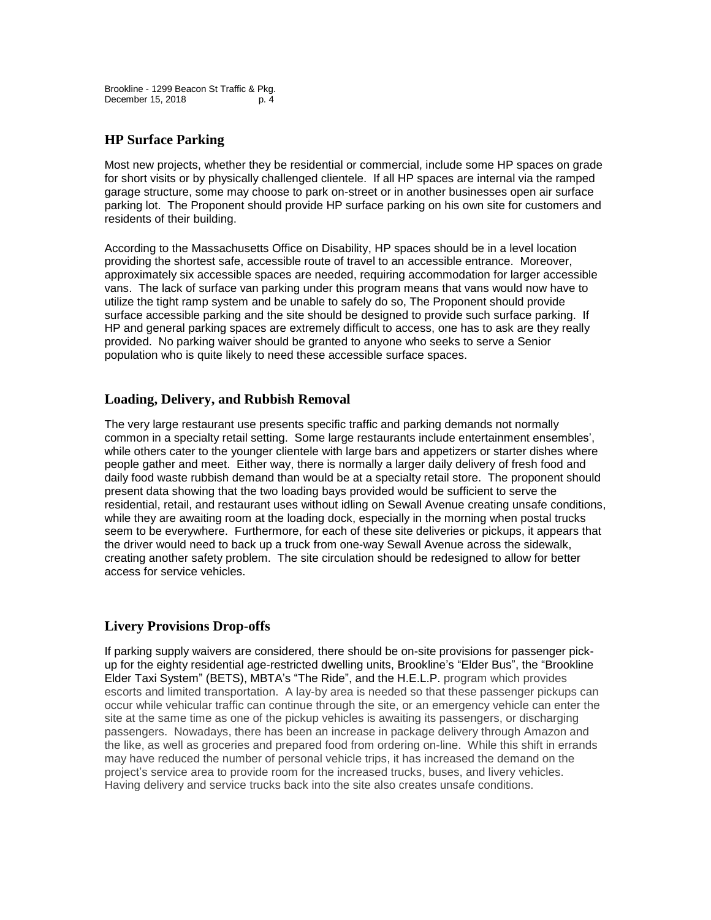#### **HP Surface Parking**

Most new projects, whether they be residential or commercial, include some HP spaces on grade for short visits or by physically challenged clientele. If all HP spaces are internal via the ramped garage structure, some may choose to park on-street or in another businesses open air surface parking lot. The Proponent should provide HP surface parking on his own site for customers and residents of their building.

According to the Massachusetts Office on Disability, HP spaces should be in a level location providing the shortest safe, accessible route of travel to an accessible entrance. Moreover, approximately six accessible spaces are needed, requiring accommodation for larger accessible vans. The lack of surface van parking under this program means that vans would now have to utilize the tight ramp system and be unable to safely do so, The Proponent should provide surface accessible parking and the site should be designed to provide such surface parking. If HP and general parking spaces are extremely difficult to access, one has to ask are they really provided. No parking waiver should be granted to anyone who seeks to serve a Senior population who is quite likely to need these accessible surface spaces.

## **Loading, Delivery, and Rubbish Removal**

The very large restaurant use presents specific traffic and parking demands not normally common in a specialty retail setting. Some large restaurants include entertainment ensembles', while others cater to the younger clientele with large bars and appetizers or starter dishes where people gather and meet. Either way, there is normally a larger daily delivery of fresh food and daily food waste rubbish demand than would be at a specialty retail store. The proponent should present data showing that the two loading bays provided would be sufficient to serve the residential, retail, and restaurant uses without idling on Sewall Avenue creating unsafe conditions, while they are awaiting room at the loading dock, especially in the morning when postal trucks seem to be everywhere. Furthermore, for each of these site deliveries or pickups, it appears that the driver would need to back up a truck from one-way Sewall Avenue across the sidewalk, creating another safety problem. The site circulation should be redesigned to allow for better access for service vehicles.

## **Livery Provisions Drop-offs**

If parking supply waivers are considered, there should be on-site provisions for passenger pickup for the eighty residential age-restricted dwelling units, Brookline's "Elder Bus", the "Brookline Elder Taxi System" (BETS), MBTA's "The Ride", and the H.E.L.P. program which provides escorts and limited transportation. A lay-by area is needed so that these passenger pickups can occur while vehicular traffic can continue through the site, or an emergency vehicle can enter the site at the same time as one of the pickup vehicles is awaiting its passengers, or discharging passengers. Nowadays, there has been an increase in package delivery through Amazon and the like, as well as groceries and prepared food from ordering on-line. While this shift in errands may have reduced the number of personal vehicle trips, it has increased the demand on the project's service area to provide room for the increased trucks, buses, and livery vehicles. Having delivery and service trucks back into the site also creates unsafe conditions.